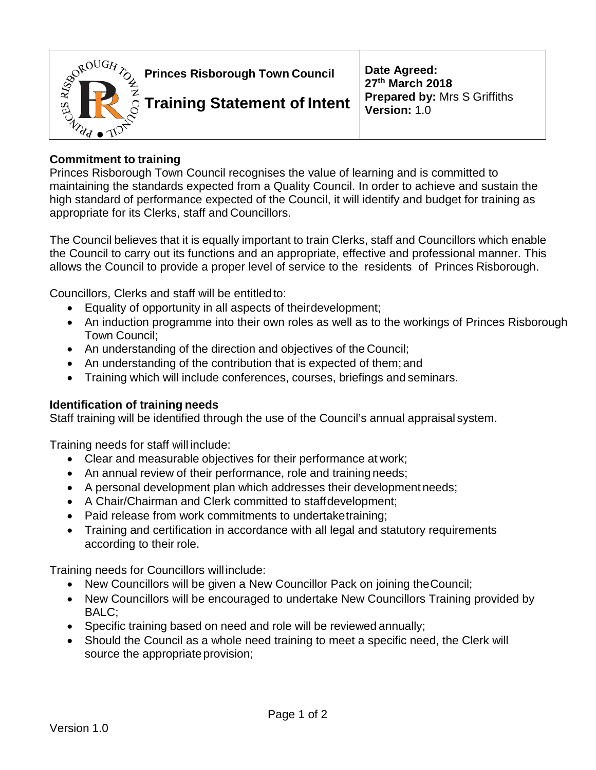

## **Commitment to training**

Princes Risborough Town Council recognises the value of learning and is committed to maintaining the standards expected from a Quality Council. In order to achieve and sustain the high standard of performance expected of the Council, it will identify and budget for training as appropriate for its Clerks, staff and Councillors.

The Council believes that it is equally important to train Clerks, staff and Councillors which enable the Council to carry out its functions and an appropriate, effective and professional manner. This allows the Council to provide a proper level of service to the residents of Princes Risborough.

Councillors, Clerks and staff will be entitled to:

- Equality of opportunity in all aspects of theirdevelopment;
- An induction programme into their own roles as well as to the workings of Princes Risborough Town Council;
- An understanding of the direction and objectives of the Council;
- An understanding of the contribution that is expected of them; and
- Training which will include conferences, courses, briefings and seminars.

## **Identification of training needs**

Staff training will be identified through the use of the Council's annual appraisal system.

Training needs for staff will include:

- Clear and measurable objectives for their performance at work;
- An annual review of their performance, role and training needs;
- A personal development plan which addresses their development needs;
- A Chair/Chairman and Clerk committed to staffdevelopment;
- Paid release from work commitments to undertaketraining;
- Training and certification in accordance with all legal and statutory requirements according to their role.

Training needs for Councillors will include:

- New Councillors will be given a New Councillor Pack on joining theCouncil;
- New Councillors will be encouraged to undertake New Councillors Training provided by BALC;
- Specific training based on need and role will be reviewed annually;
- Should the Council as a whole need training to meet a specific need, the Clerk will source the appropriate provision;